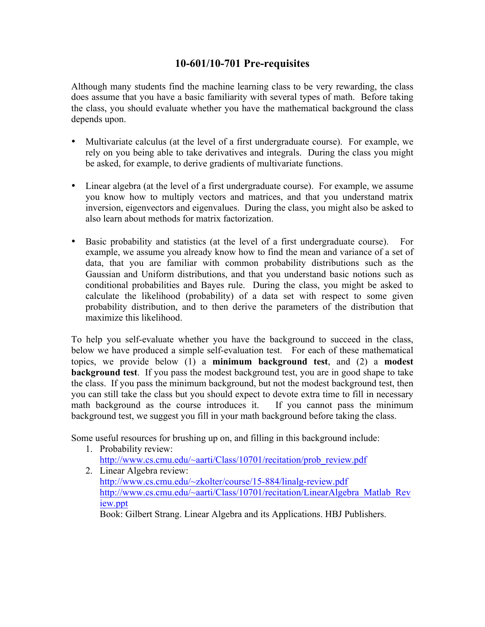## **10-601/10-701 Pre-requisites**

Although many students find the machine learning class to be very rewarding, the class does assume that you have a basic familiarity with several types of math. Before taking the class, you should evaluate whether you have the mathematical background the class depends upon.

- Multivariate calculus (at the level of a first undergraduate course). For example, we rely on you being able to take derivatives and integrals. During the class you might be asked, for example, to derive gradients of multivariate functions.
- Linear algebra (at the level of a first undergraduate course). For example, we assume you know how to multiply vectors and matrices, and that you understand matrix inversion, eigenvectors and eigenvalues. During the class, you might also be asked to also learn about methods for matrix factorization.
- Basic probability and statistics (at the level of a first undergraduate course). For example, we assume you already know how to find the mean and variance of a set of data, that you are familiar with common probability distributions such as the Gaussian and Uniform distributions, and that you understand basic notions such as conditional probabilities and Bayes rule. During the class, you might be asked to calculate the likelihood (probability) of a data set with respect to some given probability distribution, and to then derive the parameters of the distribution that maximize this likelihood.

To help you self-evaluate whether you have the background to succeed in the class, below we have produced a simple self-evaluation test. For each of these mathematical topics, we provide below (1) a **minimum background test**, and (2) a **modest background test**. If you pass the modest background test, you are in good shape to take the class. If you pass the minimum background, but not the modest background test, then you can still take the class but you should expect to devote extra time to fill in necessary math background as the course introduces it. If you cannot pass the minimum background test, we suggest you fill in your math background before taking the class.

Some useful resources for brushing up on, and filling in this background include:

- 1. Probability review: http://www.cs.cmu.edu/~aarti/Class/10701/recitation/prob\_review.pdf
- 2. Linear Algebra review: http://www.cs.cmu.edu/~zkolter/course/15-884/linalg-review.pdf http://www.cs.cmu.edu/~aarti/Class/10701/recitation/LinearAlgebra\_Matlab\_Rev iew.ppt

Book: Gilbert Strang. Linear Algebra and its Applications. HBJ Publishers.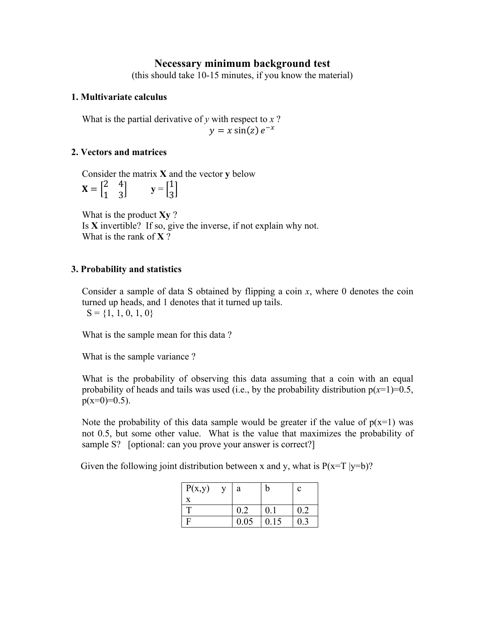## **Necessary minimum background test**

(this should take 10-15 minutes, if you know the material)

### **1. Multivariate calculus**

What is the partial derivative of  $y$  with respect to  $x$ ?  $y = x \sin(z) e^{-x}$ 

### **2. Vectors and matrices**

Consider the matrix **X** and the vector **y** below  $X = \begin{bmatrix} 2 & 4 \\ 1 & 3 \end{bmatrix}$   $y = \begin{bmatrix} 1 \\ 3 \end{bmatrix}$ 3

What is the product **Xy** ? Is **X** invertible? If so, give the inverse, if not explain why not. What is the rank of **X** ?

### **3. Probability and statistics**

Consider a sample of data S obtained by flipping a coin *x*, where 0 denotes the coin turned up heads, and 1 denotes that it turned up tails.  $S = \{1, 1, 0, 1, 0\}$ 

What is the sample mean for this data ?

What is the sample variance ?

What is the probability of observing this data assuming that a coin with an equal probability of heads and tails was used (i.e., by the probability distribution  $p(x=1)=0.5$ ,  $p(x=0)=0.5$ ).

Note the probability of this data sample would be greater if the value of  $p(x=1)$  was not 0.5, but some other value. What is the value that maximizes the probability of sample S? [optional: can you prove your answer is correct?]

Given the following joint distribution between x and y, what is  $P(x=T |y=b)$ ?

| P(x,y) | V | a    | b    | с   |
|--------|---|------|------|-----|
|        |   |      |      |     |
| T      |   | 0.2  | 0.1  | 0.2 |
|        |   | 0.05 | 0.15 | 0.3 |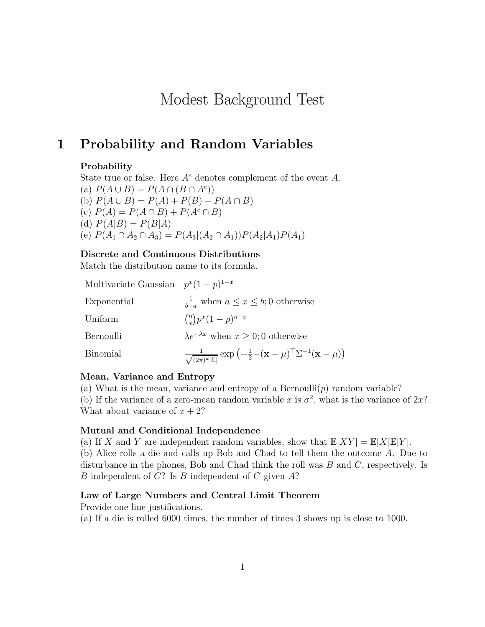# Modest Background Test

## 1 Probability and Random Variables

#### Probability

State true or false. Here  $A<sup>c</sup>$  denotes complement of the event A. (a)  $P(A \cup B) = P(A \cap (B \cap A^c))$ (b)  $P(A \cup B) = P(A) + P(B) - P(A \cap B)$ (c)  $P(A) = P(A \cap B) + P(A^c \cap B)$ (d)  $P(A|B) = P(B|A)$ (e)  $P(A_1 \cap A_2 \cap A_3) = P(A_3 | (A_2 \cap A_1)) P(A_2 | A_1) P(A_1)$ 

#### Discrete and Continuous Distributions

Match the distribution name to its formula.

| Multivariate Gaussian $p^x(1-p)^{1-x}$ |                                                                                                                                               |
|----------------------------------------|-----------------------------------------------------------------------------------------------------------------------------------------------|
| Exponential                            | $\frac{1}{b-a}$ when $a \leq x \leq b$ ; 0 otherwise                                                                                          |
| Uniform                                | $\binom{n}{x} p^x (1-p)^{n-x}$                                                                                                                |
| Bernoulli                              | $\lambda e^{-\lambda x}$ when $x \geq 0$ ; 0 otherwise                                                                                        |
| <b>Binomial</b>                        | $\frac{1}{\sqrt{(2\pi)^d \Sigma }}\exp\left(-\frac{1}{2}-(\mathbf{x}-\boldsymbol{\mu})^{\top}\Sigma^{-1}(\mathbf{x}-\boldsymbol{\mu})\right)$ |

#### Mean, Variance and Entropy

(a) What is the mean, variance and entropy of a Bernoulli $(p)$  random variable? (b) If the variance of a zero-mean random variable x is  $\sigma^2$ , what is the variance of  $2x$ ? What about variance of  $x + 2$ ?

#### Mutual and Conditional Independence

(a) If X and Y are independent random variables, show that  $\mathbb{E}[XY] = \mathbb{E}[X]\mathbb{E}[Y]$ .

(b) Alice rolls a die and calls up Bob and Chad to tell them the outcome A. Due to disturbance in the phones, Bob and Chad think the roll was B and C, respectively. Is B independent of  $C$ ? Is  $B$  independent of  $C$  given  $A$ ?

### Law of Large Numbers and Central Limit Theorem

Provide one line justifications.

(a) If a die is rolled 6000 times, the number of times 3 shows up is close to 1000.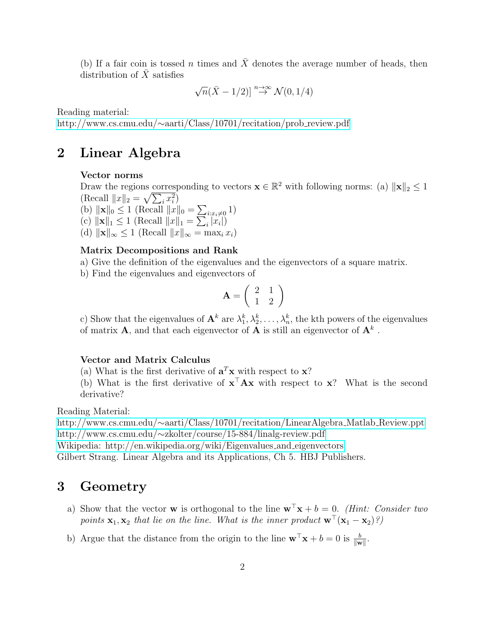(b) If a fair coin is tossed n times and  $\bar{X}$  denotes the average number of heads, then distribution of  $\bar{X}$  satisfies

$$
\sqrt{n}(\bar{X}-1/2)] \stackrel{n \to \infty}{\to} \mathcal{N}(0,1/4)
$$

Reading material:

http://www.cs.cmu.edu/∼[aarti/Class/10701/recitation/prob](http://www.cs.cmu.edu/~aarti/Class/10701/recitation/prob_review.pdf) review.pdf

## 2 Linear Algebra

#### Vector norms

Draw the regions corresponding to vectors  $\mathbf{x} \in \mathbb{R}^2$  with following norms: (a)  $\|\mathbf{x}\|_2 \leq 1$ (Recall  $||x||_2 = \sqrt{\sum_i x_i^2}$ ) (b)  $\|\mathbf{x}\|_0 \le 1$  (Recall  $\|x\|_0 = \sum_{i:x_i\neq 0} 1$ ) (c)  $\|\mathbf{x}\|_1 \leq 1$  (Recall  $\|x\|_1 = \sum_i |x_i|$ ) (d)  $\|\mathbf{x}\|_{\infty} \leq 1$  (Recall  $\|x\|_{\infty} = \max_i x_i$ )

#### Matrix Decompositions and Rank

- a) Give the definition of the eigenvalues and the eigenvectors of a square matrix.
- b) Find the eigenvalues and eigenvectors of

$$
\mathbf{A} = \left( \begin{array}{cc} 2 & 1 \\ 1 & 2 \end{array} \right)
$$

c) Show that the eigenvalues of  $\mathbf{A}^k$  are  $\lambda_1^k, \lambda_2^k, \ldots, \lambda_n^k$ , the kth powers of the eigenvalues of matrix **A**, and that each eigenvector of **A** is still an eigenvector of  $A^k$ .

#### Vector and Matrix Calculus

(a) What is the first derivative of  $\mathbf{a}^T\mathbf{x}$  with respect to  $\mathbf{x}$ ?

(b) What is the first derivative of  $\mathbf{x}^{\top} \mathbf{A} \mathbf{x}$  with respect to  $\mathbf{x}$ ? What is the second derivative?

Reading Material:

http://www.cs.cmu.edu/∼[aarti/Class/10701/recitation/LinearAlgebra](http://www.cs.cmu.edu/~aarti/Class/10701/recitation/LinearAlgebra_Matlab_Review.ppt) Matlab Review.ppt http://www.cs.cmu.edu/∼[zkolter/course/15-884/linalg-review.pdf](http://www.cs.cmu.edu/~zkolter/course/15-884/linalg-review.pdf)

[Wikipedia: http://en.wikipedia.org/wiki/Eigenvalues](http://en.wikipedia.org/wiki/Eigenvalues_and_eigenvectors) and eigenvectors

Gilbert Strang. Linear Algebra and its Applications, Ch 5. HBJ Publishers.

## 3 Geometry

- a) Show that the vector **w** is orthogonal to the line  $\mathbf{w}^{\top}\mathbf{x} + b = 0$ . (Hint: Consider two points  $\mathbf{x}_1, \mathbf{x}_2$  that lie on the line. What is the inner product  $\mathbf{w}^{\top}(\mathbf{x}_1 - \mathbf{x}_2)$ ?)
- b) Argue that the distance from the origin to the line  $\mathbf{w}^{\top}\mathbf{x} + b = 0$  is  $\frac{b}{\|\mathbf{w}\|}$ .